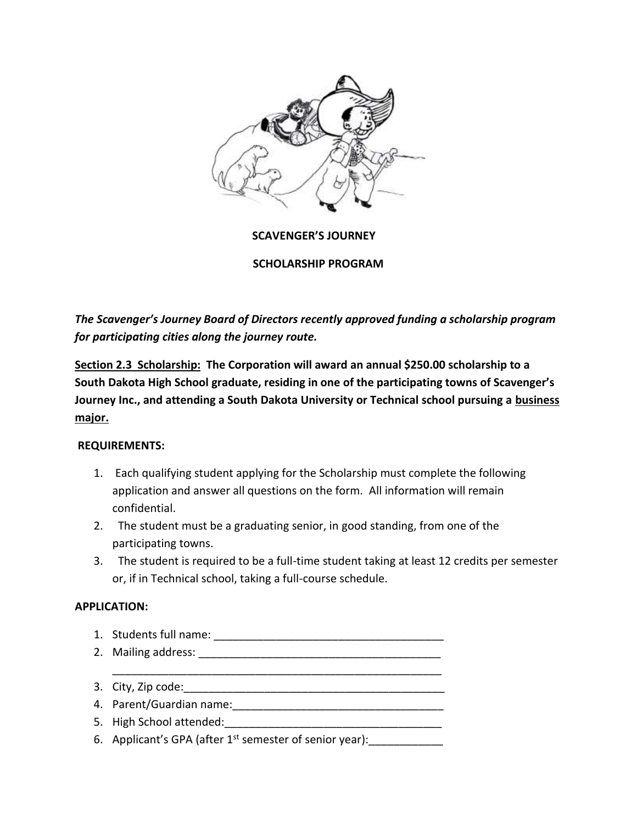

 **SCAVENGER'S JOURNEY**

**SCHOLARSHIP PROGRAM**

*The Scavenger's Journey Board of Directors recently approved funding a scholarship program for participating cities along the journey route.*

**Section 2.3 Scholarship: The Corporation will award an annual \$250.00 scholarship to a South Dakota High School graduate, residing in one of the participating towns of Scavenger's Journey Inc., and attending a South Dakota University or Technical school pursuing a business major.**

## **REQUIREMENTS:**

- 1. Each qualifying student applying for the Scholarship must complete the following application and answer all questions on the form. All information will remain confidential.
- 2. The student must be a graduating senior, in good standing, from one of the participating towns.
- 3. The student is required to be a full-time student taking at least 12 credits per semester or, if in Technical school, taking a full-course schedule.

#### **APPLICATION:**

- 1. Students full name: \_\_\_\_\_\_\_\_\_\_\_\_\_\_\_\_\_\_\_\_\_\_\_\_\_\_\_\_\_\_\_\_\_\_\_\_\_ 2. Mailing address: \_\_\_\_\_\_\_\_\_\_\_\_\_\_\_\_\_\_\_\_\_\_\_\_\_\_\_\_\_\_\_\_\_\_\_\_\_\_\_
- \_\_\_\_\_\_\_\_\_\_\_\_\_\_\_\_\_\_\_\_\_\_\_\_\_\_\_\_\_\_\_\_\_\_\_\_\_\_\_\_\_\_\_\_\_\_\_\_\_\_\_\_\_ 3. City, Zip code:
- 4. Parent/Guardian name:\_\_\_\_\_\_\_\_\_\_\_\_\_\_\_\_\_\_\_\_\_\_\_\_\_\_\_\_\_\_\_\_\_\_
- 5. High School attended:
- 6. Applicant's GPA (after  $1^{st}$  semester of senior year):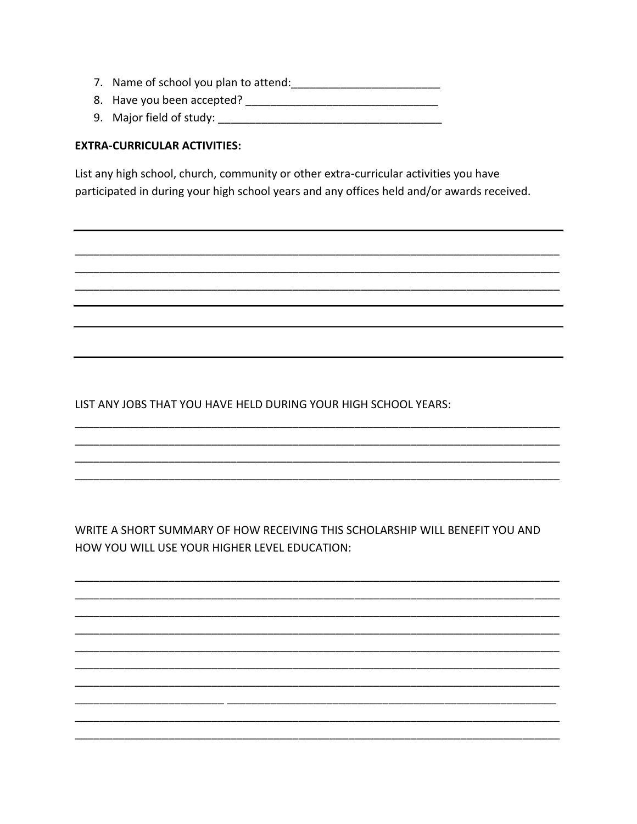- 
- 
- 

## **EXTRA-CURRICULAR ACTIVITIES:**

List any high school, church, community or other extra-curricular activities you have participated in during your high school years and any offices held and/or awards received.

LIST ANY JOBS THAT YOU HAVE HELD DURING YOUR HIGH SCHOOL YEARS:

WRITE A SHORT SUMMARY OF HOW RECEIVING THIS SCHOLARSHIP WILL BENEFIT YOU AND HOW YOU WILL USE YOUR HIGHER LEVEL EDUCATION: